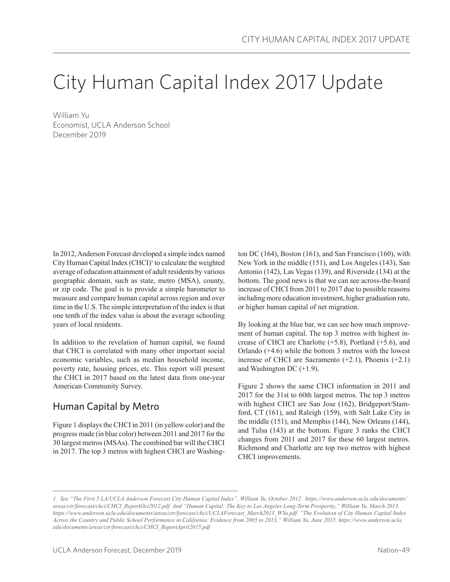# City Human Capital Index 2017 Update

William Yu Economist, UCLA Anderson School December 2019

In 2012, Anderson Forecast developed a simple index named City Human Capital Index (CHCI)<sup>1</sup> to calculate the weighted average of education attainment of adult residents by various geographic domain, such as state, metro (MSA), county, or zip code. The goal is to provide a simple barometer to measure and compare human capital across region and over time in the U.S. The simple interpretation of the index is that one tenth of the index value is about the average schooling years of local residents.

In addition to the revelation of human capital, we found that CHCI is correlated with many other important social economic variables, such as median household income, poverty rate, housing prices, etc. This report will present the CHCI in 2017 based on the latest data from one-year American Community Survey.

# Human Capital by Metro

Figure 1 displays the CHCI in 2011 (in yellow color) and the progress made (in blue color) between 2011 and 2017 for the 30 largest metros (MSAs). The combined bar will the CHCI in 2017. The top 3 metros with highest CHCI are Washington DC (164), Boston (161), and San Francisco (160), with New York in the middle (151), and Los Angeles (143), San Antonio (142), Las Vegas (139), and Riverside (134) at the bottom. The good news is that we can see across-the-board increase of CHCI from 2011 to 2017 due to possible reasons including more education investment, higher graduation rate, or higher human capital of net migration.

By looking at the blue bar, we can see how much improvement of human capital. The top 3 metros with highest increase of CHCI are Charlotte (+5.8), Portland (+5.6), and Orlando (+4.6) while the bottom 3 metros with the lowest increase of CHCI are Sacramento (+2.1), Phoenix (+2.1) and Washington DC  $(+1.9)$ .

Figure 2 shows the same CHCI information in 2011 and 2017 for the 31st to 60th largest metros. The top 3 metros with highest CHCI are San Jose (162), Bridgeport/Stamford, CT (161), and Raleigh (159), with Salt Lake City in the middle (151), and Memphis (144), New Orleans (144), and Tulsa (143) at the bottom. Figure 3 ranks the CHCI changes from 2011 and 2017 for these 60 largest metros. Richmond and Charlotte are top two metros with highest CHCI improvements.

*<sup>1.</sup> See "The First 5 LA/UCLA Anderson Forecast City Human Capital Index", William Yu, October 2012. https://www.anderson.ucla.edu/documents/ areas/ctr/forecast/chci/CHCI\_ReportOct2012.pdf. And "Human Capital: The Key to Los Angeles Long-Term Prosperity," William Yu, March 2013. https://www.anderson.ucla.edu/documents/areas/ctr/forecast/chci/UCLAForecast\_March2013\_WYu.pdf. "The Evolution of City Human Capital Index Across the Country and Public School Performance in California: Evidence from 2005 to 2013," William Yu, June 2015. https://www.anderson.ucla. edu/documents/areas/ctr/forecast/chci/CHCI\_ReportApril2015.pdf*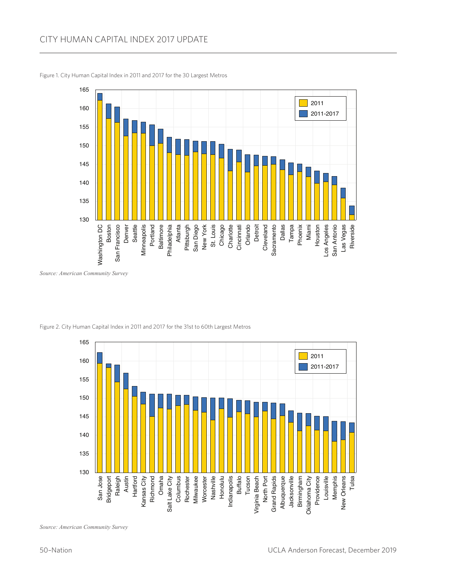

Figure 1. City Human Capital Index in 2011 and 2017 for the 30 Largest Metros

*Source: American Community Survey*



Figure 2. City Human Capital Index in 2011 and 2017 for the 31st to 60th Largest Metros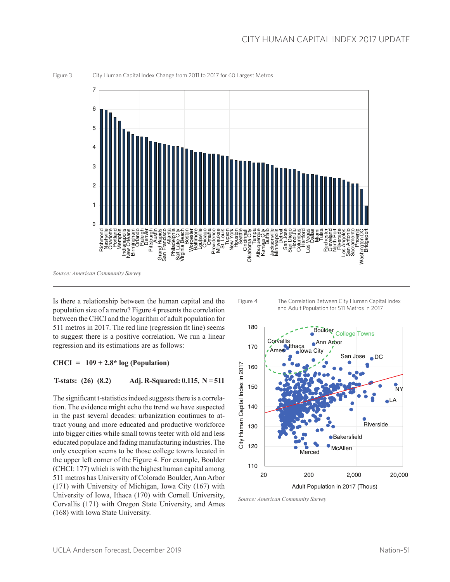

Figure 3 City Human Capital Index Change from 2011 to 2017 for 60 Largest Metros

Is there a relationship between the human capital and the population size of a metro? Figure 4 presents the correlation between the CHCI and the logarithm of adult population for 511 metros in 2017. The red line (regression fit line) seems to suggest there is a positive correlation. We run a linear regression and its estimations are as follows:

### **CHCI = 109 + 2.8\* log (Population)**

#### **T-stats: (26) (8.2) Adj. R-Squared: 0.115, N = 511**

The significant t-statistics indeed suggests there is a correlation. The evidence might echo the trend we have suspected in the past several decades: urbanization continues to attract young and more educated and productive workforce into bigger cities while small towns teeter with old and less educated populace and fading manufacturing industries. The only exception seems to be those college towns located in the upper left corner of the Figure 4. For example, Boulder (CHCI: 177) which is with the highest human capital among 511 metros has University of Colorado Boulder, Ann Arbor (171) with University of Michigan, Iowa City (167) with University of Iowa, Ithaca (170) with Cornell University, Corvallis (171) with Oregon State University, and Ames (168) with Iowa State University.

Figure 4 The Correlation Between City Human Capital Index and Adult Population for 511 Metros in 2017



*Source: American Community Survey*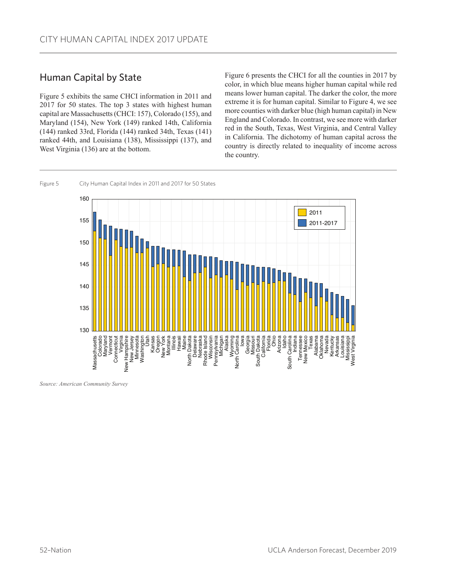# Human Capital by State

Figure 5 exhibits the same CHCI information in 2011 and 2017 for 50 states. The top 3 states with highest human capital are Massachusetts (CHCI: 157), Colorado (155), and Maryland (154), New York (149) ranked 14th, California (144) ranked 33rd, Florida (144) ranked 34th, Texas (141) ranked 44th, and Louisiana (138), Mississippi (137), and West Virginia (136) are at the bottom.

Figure 6 presents the CHCI for all the counties in 2017 by color, in which blue means higher human capital while red means lower human capital. The darker the color, the more extreme it is for human capital. Similar to Figure 4, we see more counties with darker blue (high human capital) in New England and Colorado. In contrast, we see more with darker red in the South, Texas, West Virginia, and Central Valley in California. The dichotomy of human capital across the country is directly related to inequality of income across the country.



Figure 5 City Human Capital Index in 2011 and 2017 for 50 States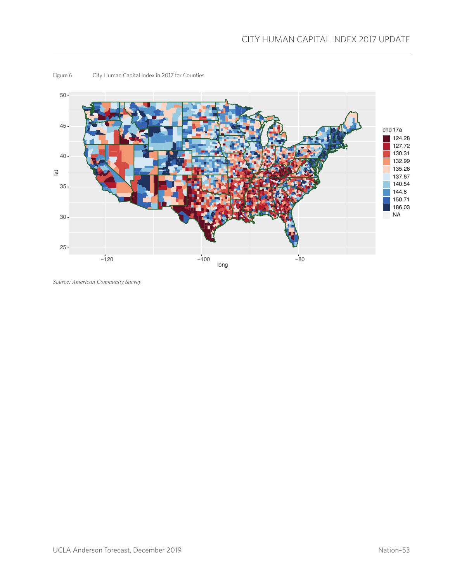

#### Figure 6 City Human Capital Index in 2017 for Counties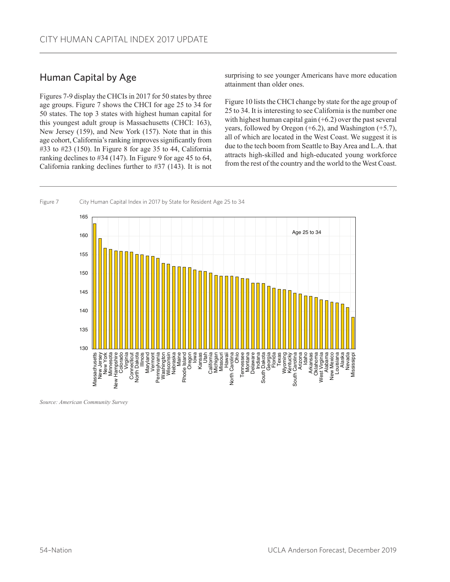# Human Capital by Age

Figures 7-9 display the CHCIs in 2017 for 50 states by three age groups. Figure 7 shows the CHCI for age 25 to 34 for 50 states. The top 3 states with highest human capital for this youngest adult group is Massachusetts (CHCI: 163), New Jersey (159), and New York (157). Note that in this age cohort, California's ranking improves significantly from #33 to #23 (150). In Figure 8 for age 35 to 44, California ranking declines to #34 (147). In Figure 9 for age 45 to 64, California ranking declines further to #37 (143). It is not

surprising to see younger Americans have more education attainment than older ones.

Figure 10 lists the CHCI change by state for the age group of 25 to 34. It is interesting to see California is the number one with highest human capital gain  $(+6.2)$  over the past several years, followed by Oregon (+6.2), and Washington (+5.7), all of which are located in the West Coast. We suggest it is due to the tech boom from Seattle to Bay Area and L.A. that attracts high-skilled and high-educated young workforce from the rest of the country and the world to the West Coast.

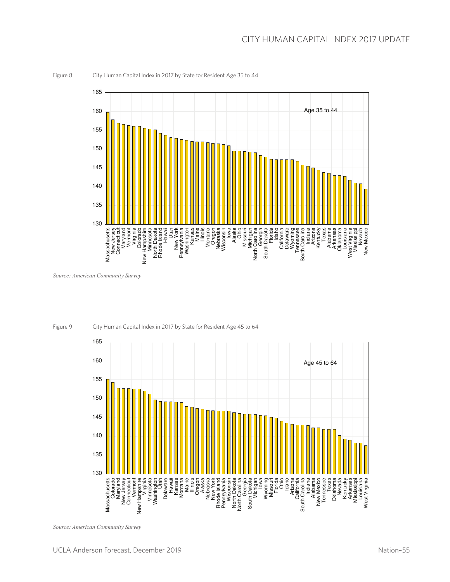

Figure 8 City Human Capital Index in 2017 by State for Resident Age 35 to 44

*Source: American Community Survey*



Figure 9 City Human Capital Index in 2017 by State for Resident Age 45 to 64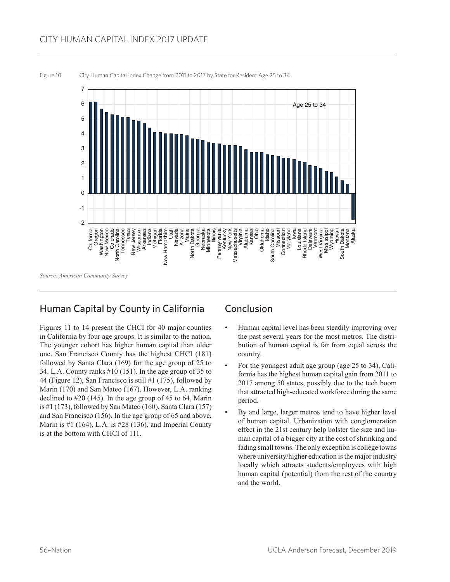## CITY HUMAN CAPITAL INDEX 2017 UPDATE



#### Figure 10 City Human Capital Index Change from 2011 to 2017 by State for Resident Age 25 to 34

## Human Capital by County in California

Figures 11 to 14 present the CHCI for 40 major counties in California by four age groups. It is similar to the nation. The younger cohort has higher human capital than older one. San Francisco County has the highest CHCI (181) followed by Santa Clara (169) for the age group of 25 to 34. L.A. County ranks #10 (151). In the age group of 35 to 44 (Figure 12), San Francisco is still #1 (175), followed by Marin (170) and San Mateo (167). However, L.A. ranking declined to #20 (145). In the age group of 45 to 64, Marin is #1 (173), followed by San Mateo (160), Santa Clara (157) and San Francisco (156). In the age group of 65 and above, Marin is #1 (164), L.A. is #28 (136), and Imperial County is at the bottom with CHCI of 111.

## Conclusion

- Human capital level has been steadily improving over the past several years for the most metros. The distribution of human capital is far from equal across the country.
- For the youngest adult age group (age 25 to 34), California has the highest human capital gain from 2011 to 2017 among 50 states, possibly due to the tech boom that attracted high-educated workforce during the same period.
- By and large, larger metros tend to have higher level of human capital. Urbanization with conglomeration effect in the 21st century help bolster the size and human capital of a bigger city at the cost of shrinking and fading small towns. The only exception is college towns where university/higher education is the major industry locally which attracts students/employees with high human capital (potential) from the rest of the country and the world.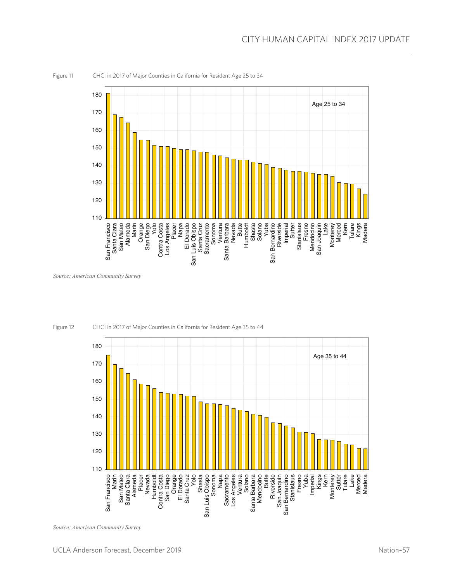

Figure 11 CHCI in 2017 of Major Counties in California for Resident Age 25 to 34

*Source: American Community Survey*



Figure 12 CHCI in 2017 of Major Counties in California for Resident Age 35 to 44